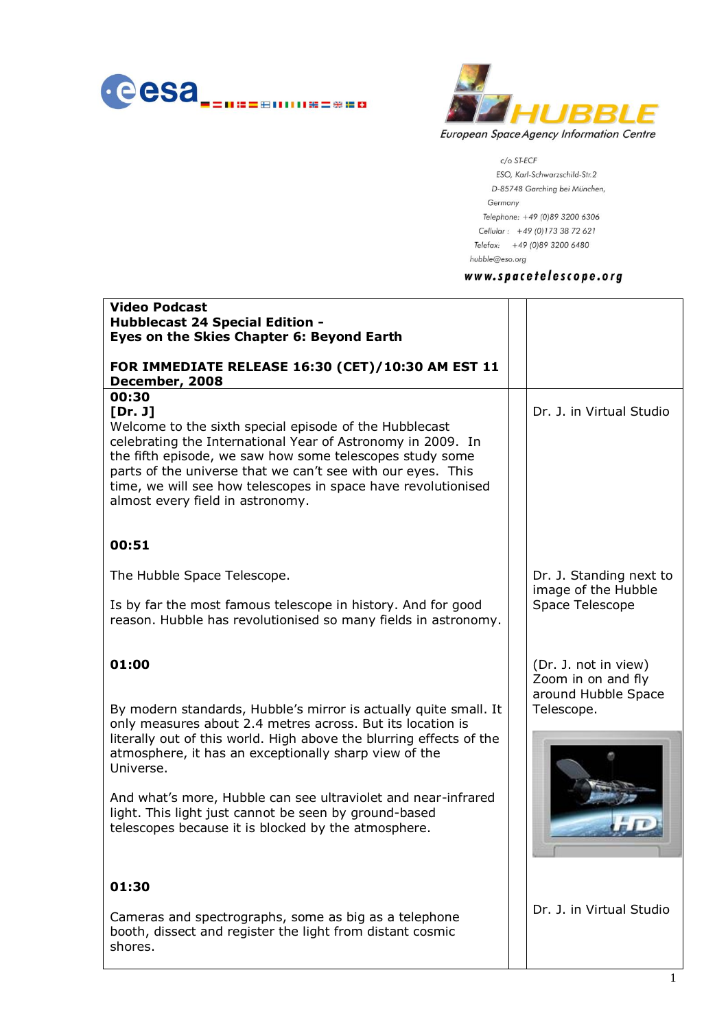



c/o ST-ECF ESO, Karl-Schwarzschild-Str.2 D-85748 Garching bei München, Germany Telephone: +49 (0)89 3200 6306 Cellular: +49 (0)173 38 72 621 Telefax: +49 (0)89 3200 6480 hubble@eso.org

# www.spacetelescope.org

| <b>Video Podcast</b><br><b>Hubblecast 24 Special Edition -</b><br>Eyes on the Skies Chapter 6: Beyond Earth                                                                                                                                                                                                                                                               |  |                                                                   |
|---------------------------------------------------------------------------------------------------------------------------------------------------------------------------------------------------------------------------------------------------------------------------------------------------------------------------------------------------------------------------|--|-------------------------------------------------------------------|
| FOR IMMEDIATE RELEASE 16:30 (CET)/10:30 AM EST 11<br>December, 2008                                                                                                                                                                                                                                                                                                       |  |                                                                   |
| 00:30<br>[Dr. J]<br>Welcome to the sixth special episode of the Hubblecast<br>celebrating the International Year of Astronomy in 2009. In<br>the fifth episode, we saw how some telescopes study some<br>parts of the universe that we can't see with our eyes. This<br>time, we will see how telescopes in space have revolutionised<br>almost every field in astronomy. |  | Dr. J. in Virtual Studio                                          |
| 00:51                                                                                                                                                                                                                                                                                                                                                                     |  |                                                                   |
| The Hubble Space Telescope.                                                                                                                                                                                                                                                                                                                                               |  | Dr. J. Standing next to<br>image of the Hubble                    |
| Is by far the most famous telescope in history. And for good<br>reason. Hubble has revolutionised so many fields in astronomy.                                                                                                                                                                                                                                            |  | Space Telescope                                                   |
| 01:00                                                                                                                                                                                                                                                                                                                                                                     |  | (Dr. J. not in view)<br>Zoom in on and fly<br>around Hubble Space |
| By modern standards, Hubble's mirror is actually quite small. It<br>only measures about 2.4 metres across. But its location is<br>literally out of this world. High above the blurring effects of the<br>atmosphere, it has an exceptionally sharp view of the<br>Universe.                                                                                               |  | Telescope.                                                        |
| And what's more, Hubble can see ultraviolet and near-infrared<br>light. This light just cannot be seen by ground-based<br>telescopes because it is blocked by the atmosphere.                                                                                                                                                                                             |  |                                                                   |
| 01:30                                                                                                                                                                                                                                                                                                                                                                     |  |                                                                   |
| Cameras and spectrographs, some as big as a telephone<br>booth, dissect and register the light from distant cosmic<br>shores.                                                                                                                                                                                                                                             |  | Dr. J. in Virtual Studio                                          |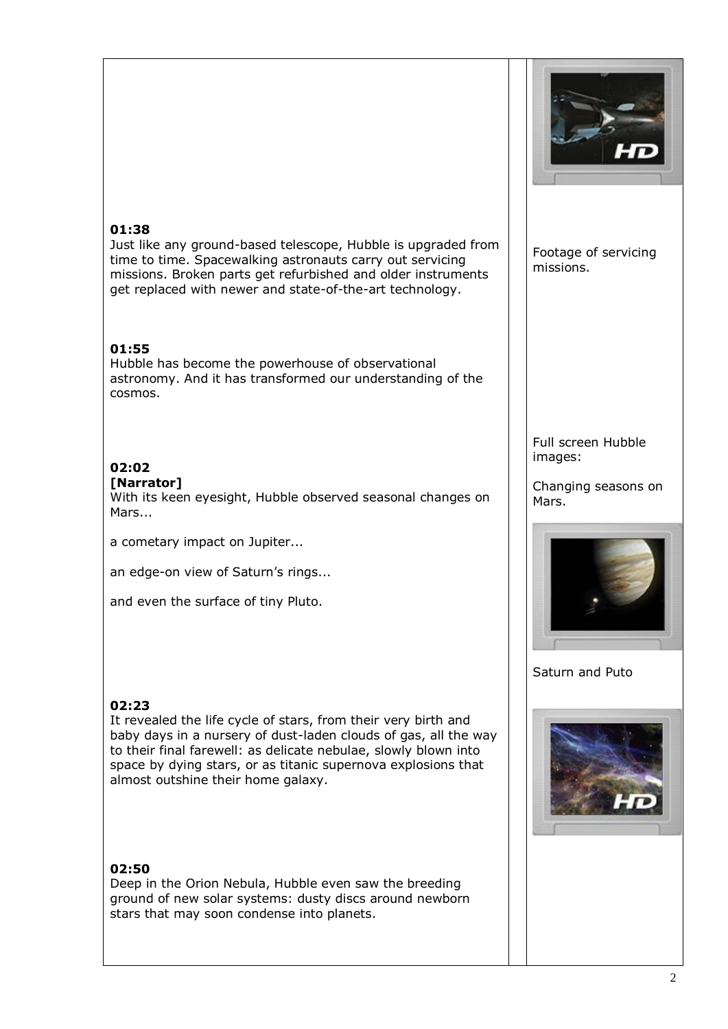

## **01:38**

Just like any ground-based telescope, Hubble is upgraded from time to time. Spacewalking astronauts carry out servicing missions. Broken parts get refurbished and older instruments get replaced with newer and state-of-the-art technology.

#### **01:55**

Hubble has become the powerhouse of observational astronomy. And it has transformed our understanding of the cosmos.

# **02:02**

#### **[Narrator]**

With its keen eyesight, Hubble observed seasonal changes on Mars...

a cometary impact on Jupiter...

an edge-on view of Saturn's rings...

and even the surface of tiny Pluto.

#### **02:23**

It revealed the life cycle of stars, from their very birth and baby days in a nursery of dust-laden clouds of gas, all the way to their final farewell: as delicate nebulae, slowly blown into space by dying stars, or as titanic supernova explosions that almost outshine their home galaxy.

#### **02:50**

Deep in the Orion Nebula, Hubble even saw the breeding ground of new solar systems: dusty discs around newborn stars that may soon condense into planets.

Footage of servicing missions.

Full screen Hubble images:

Changing seasons on Mars.



Saturn and Puto

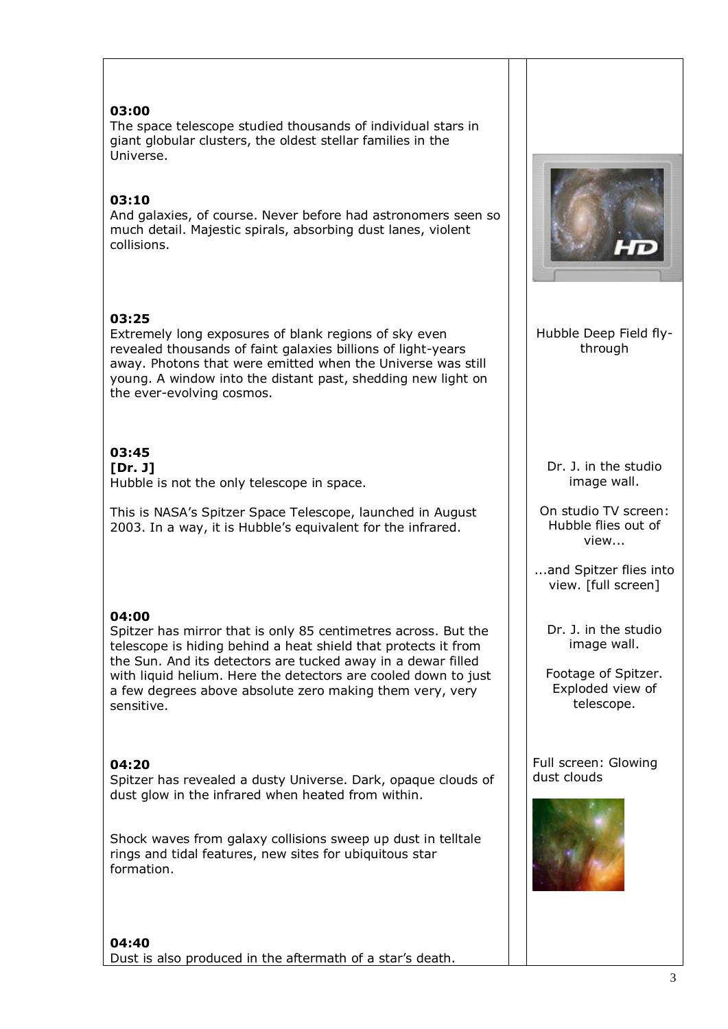#### **03:00**

The space telescope studied thousands of individual stars in giant globular clusters, the oldest stellar families in the Universe.

# **03:10**

And galaxies, of course. Never before had astronomers seen so much detail. Majestic spirals, absorbing dust lanes, violent collisions.

## **03:25**

Extremely long exposures of blank regions of sky even revealed thousands of faint galaxies billions of light-years away. Photons that were emitted when the Universe was still young. A window into the distant past, shedding new light on the ever-evolving cosmos.

# **03:45**

**[Dr. J]**

Hubble is not the only telescope in space.

This is NASA's Spitzer Space Telescope, launched in August 2003. In a way, it is Hubble's equivalent for the infrared.

## **04:00**

Spitzer has mirror that is only 85 centimetres across. But the telescope is hiding behind a heat shield that protects it from the Sun. And its detectors are tucked away in a dewar filled with liquid helium. Here the detectors are cooled down to just a few degrees above absolute zero making them very, very sensitive.

#### **04:20**

Spitzer has revealed a dusty Universe. Dark, opaque clouds of dust glow in the infrared when heated from within.

Shock waves from galaxy collisions sweep up dust in telltale rings and tidal features, new sites for ubiquitous star formation.

**04:40** Dust is also produced in the aftermath of a star's death.



Hubble Deep Field flythrough

Dr. J. in the studio image wall.

On studio TV screen: Hubble flies out of view...

...and Spitzer flies into view. [full screen]

Dr. J. in the studio image wall.

Footage of Spitzer. Exploded view of telescope.

Full screen: Glowing dust clouds

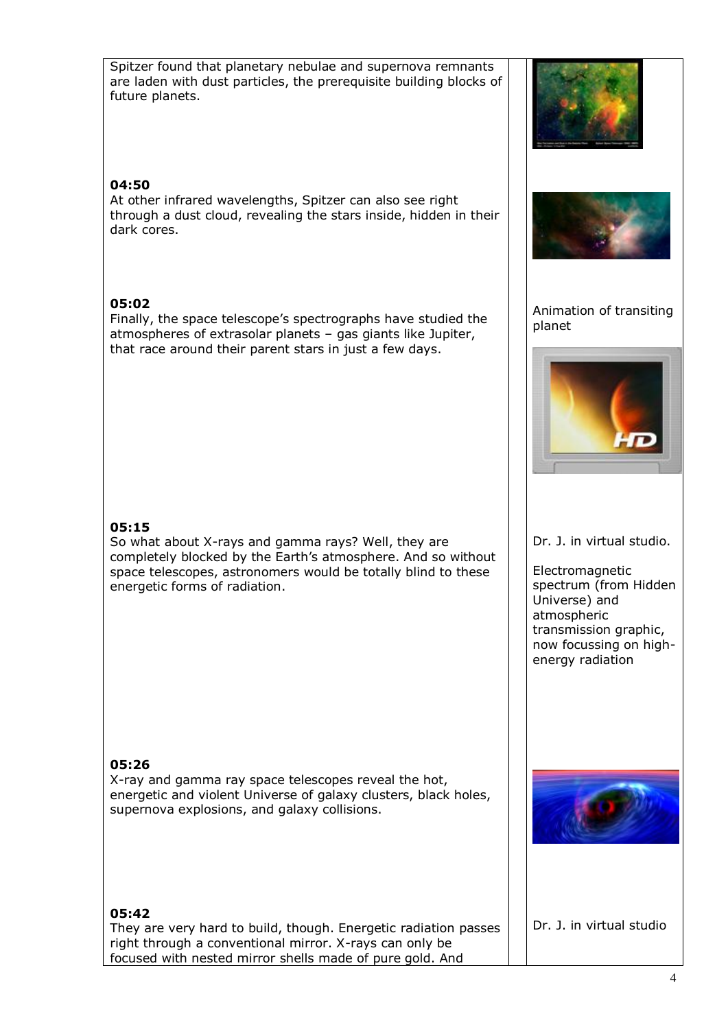Spitzer found that planetary nebulae and supernova remnants are laden with dust particles, the prerequisite building blocks of future planets. **04:50** At other infrared wavelengths, Spitzer can also see right through a dust cloud, revealing the stars inside, hidden in their dark cores. **05:02** Finally, the space telescope's spectrographs have studied the atmospheres of extrasolar planets – gas giants like Jupiter, that race around their parent stars in just a few days. **05:15** So what about X-rays and gamma rays? Well, they are completely blocked by the Earth's atmosphere. And so without space telescopes, astronomers would be totally blind to these energetic forms of radiation. **05:26** X-ray and gamma ray space telescopes reveal the hot, energetic and violent Universe of galaxy clusters, black holes, supernova explosions, and galaxy collisions. **05:42** They are very hard to build, though. Energetic radiation passes right through a conventional mirror. X-rays can only be focused with nested mirror shells made of pure gold. And Animation of transiting planet Dr. J. in virtual studio. Electromagnetic spectrum (from Hidden Universe) and atmospheric transmission graphic, now focussing on highenergy radiation Dr. J. in virtual studio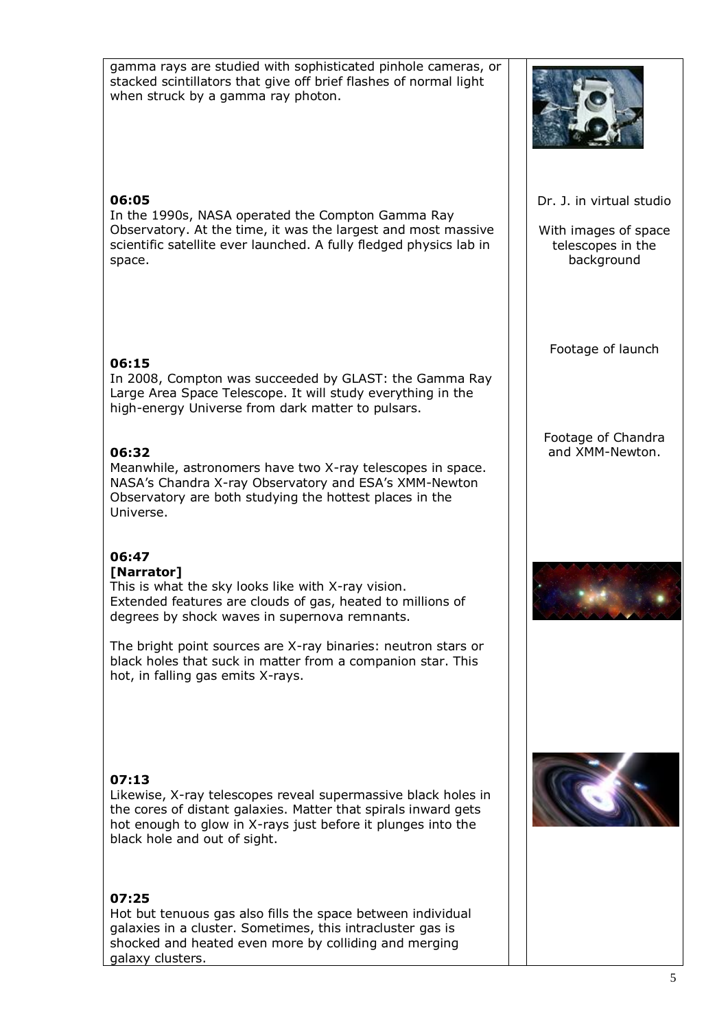gamma rays are studied with sophisticated pinhole cameras, or stacked scintillators that give off brief flashes of normal light when struck by a gamma ray photon.

#### **06:05**

In the 1990s, NASA operated the Compton Gamma Ray Observatory. At the time, it was the largest and most massive scientific satellite ever launched. A fully fledged physics lab in space.

## **06:15**

In 2008, Compton was succeeded by GLAST: the Gamma Ray Large Area Space Telescope. It will study everything in the high-energy Universe from dark matter to pulsars.

# **06:32**

Meanwhile, astronomers have two X-ray telescopes in space. NASA's Chandra X-ray Observatory and ESA's XMM-Newton Observatory are both studying the hottest places in the Universe.

# **06:47**

#### **[Narrator]**

This is what the sky looks like with X-ray vision. Extended features are clouds of gas, heated to millions of degrees by shock waves in supernova remnants.

The bright point sources are X-ray binaries: neutron stars or black holes that suck in matter from a companion star. This hot, in falling gas emits X-rays.

## **07:13**

Likewise, X-ray telescopes reveal supermassive black holes in the cores of distant galaxies. Matter that spirals inward gets hot enough to glow in X-rays just before it plunges into the black hole and out of sight.

## **07:25**

Hot but tenuous gas also fills the space between individual galaxies in a cluster. Sometimes, this intracluster gas is shocked and heated even more by colliding and merging galaxy clusters.



Dr. J. in virtual studio

With images of space telescopes in the background

Footage of launch

Footage of Chandra and XMM-Newton.